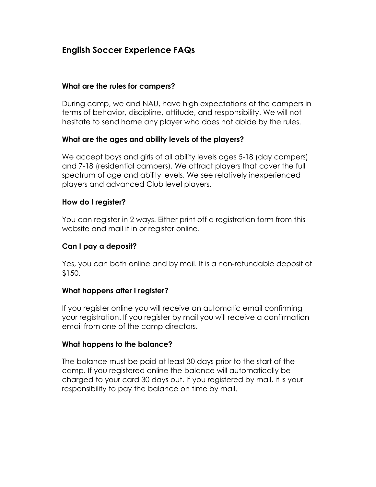# **English Soccer Experience FAQs**

#### **What are the rules for campers?**

During camp, we and NAU, have high expectations of the campers in terms of behavior, discipline, attitude, and responsibility. We will not hesitate to send home any player who does not abide by the rules.

## **What are the ages and ability levels of the players?**

We accept boys and girls of all ability levels ages 5-18 (day campers) and 7-18 (residential campers). We attract players that cover the full spectrum of age and ability levels. We see relatively inexperienced players and advanced Club level players.

#### **How do I register?**

You can register in 2 ways. Either print off a registration form from this website and mail it in or register online.

#### **Can I pay a deposit?**

Yes, you can both online and by mail. It is a non-refundable deposit of \$150.

## **What happens after I register?**

If you register online you will receive an automatic email confirming your registration. If you register by mail you will receive a confirmation email from one of the camp directors.

#### **What happens to the balance?**

The balance must be paid at least 30 days prior to the start of the camp. If you registered online the balance will automatically be charged to your card 30 days out. If you registered by mail, it is your responsibility to pay the balance on time by mail.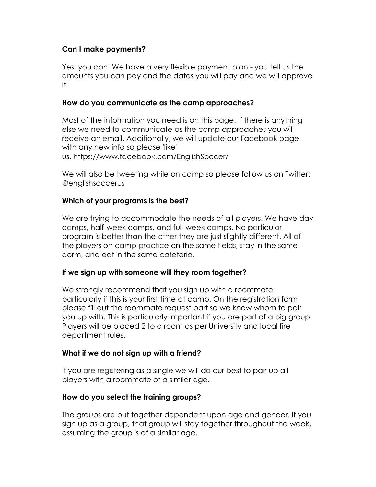## **Can I make payments?**

Yes, you can! We have a very flexible payment plan - you tell us the amounts you can pay and the dates you will pay and we will approve it!

#### **How do you communicate as the camp approaches?**

Most of the information you need is on this page. If there is anything else we need to communicate as the camp approaches you will receive an email. Additionally, we will update our Facebook page with any new info so please 'like' us. https://www.facebook.com/EnglishSoccer/

We will also be tweeting while on camp so please follow us on Twitter: @englishsoccerus

## **Which of your programs is the best?**

We are trying to accommodate the needs of all players. We have day camps, half-week camps, and full-week camps. No particular program is better than the other they are just slightly different. All of the players on camp practice on the same fields, stay in the same dorm, and eat in the same cafeteria.

## **If we sign up with someone will they room together?**

We strongly recommend that you sign up with a roommate particularly if this is your first time at camp. On the registration form please fill out the roommate request part so we know whom to pair you up with. This is particularly important if you are part of a big group. Players will be placed 2 to a room as per University and local fire department rules.

## **What if we do not sign up with a friend?**

If you are registering as a single we will do our best to pair up all players with a roommate of a similar age.

## **How do you select the training groups?**

The groups are put together dependent upon age and gender. If you sign up as a group, that group will stay together throughout the week, assuming the group is of a similar age.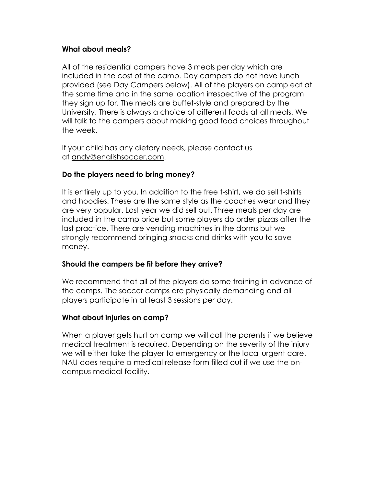## **What about meals?**

All of the residential campers have 3 meals per day which are included in the cost of the camp. Day campers do not have lunch provided (see Day Campers below). All of the players on camp eat at the same time and in the same location irrespective of the program they sign up for. The meals are buffet-style and prepared by the University. There is always a choice of different foods at all meals. We will talk to the campers about making good food choices throughout the week.

If your child has any dietary needs, please contact us at andy@englishsoccer.com.

## **Do the players need to bring money?**

It is entirely up to you. In addition to the free t-shirt, we do sell t-shirts and hoodies. These are the same style as the coaches wear and they are very popular. Last year we did sell out. Three meals per day are included in the camp price but some players do order pizzas after the last practice. There are vending machines in the dorms but we strongly recommend bringing snacks and drinks with you to save money.

#### **Should the campers be fit before they arrive?**

We recommend that all of the players do some training in advance of the camps. The soccer camps are physically demanding and all players participate in at least 3 sessions per day.

## **What about injuries on camp?**

When a player gets hurt on camp we will call the parents if we believe medical treatment is required. Depending on the severity of the injury we will either take the player to emergency or the local urgent care. NAU does require a medical release form filled out if we use the oncampus medical facility.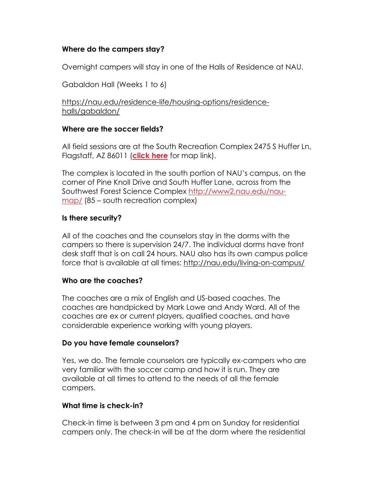## **Where do the campers stay?**

Overnight campers will stay in one of the Halls of Residence at NAU.

Gabaldon Hall (Weeks 1 to 6)

https://nau.edu/residence-life/housing-options/residencehalls/gabaldon/

## **Where are the soccer fields?**

All field sessions are at the South Recreation Complex 2475 S Huffer Ln, Flagstaff, AZ 86011 (**click here** for map link).

The complex is located in the south portion of NAU's campus, on the corner of Pine Knoll Drive and South Huffer Lane, across from the Southwest Forest Science Complex http://www2.nau.edu/naumap/ (85 – south recreation complex)

## **Is there security?**

All of the coaches and the counselors stay in the dorms with the campers so there is supervision 24/7. The individual dorms have front desk staff that is on call 24 hours. NAU also has its own campus police force that is available at all times: http://nau.edu/living-on-campus/

## **Who are the coaches?**

The coaches are a mix of English and US-based coaches. The coaches are handpicked by Mark Lowe and Andy Ward. All of the coaches are ex or current players, qualified coaches, and have considerable experience working with young players.

## **Do you have female counselors?**

Yes, we do. The female counselors are typically ex-campers who are very familiar with the soccer camp and how it is run. They are available at all times to attend to the needs of all the female campers.

# **What time is check-in?**

Check-in time is between 3 pm and 4 pm on Sunday for residential campers only. The check-in will be at the dorm where the residential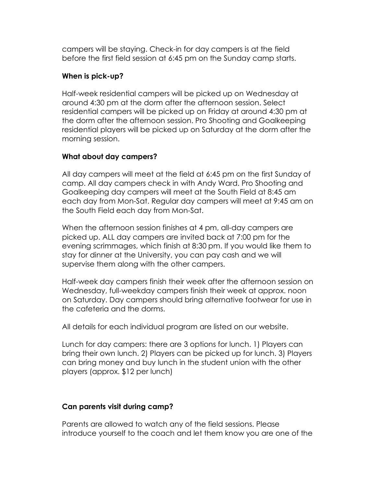campers will be staying. Check-in for day campers is at the field before the first field session at 6:45 pm on the Sunday camp starts.

## **When is pick-up?**

Half-week residential campers will be picked up on Wednesday at around 4:30 pm at the dorm after the afternoon session. Select residential campers will be picked up on Friday at around 4:30 pm at the dorm after the afternoon session. Pro Shooting and Goalkeeping residential players will be picked up on Saturday at the dorm after the morning session.

#### **What about day campers?**

All day campers will meet at the field at 6:45 pm on the first Sunday of camp. All day campers check in with Andy Ward. Pro Shooting and Goalkeeping day campers will meet at the South Field at 8:45 am each day from Mon-Sat. Regular day campers will meet at 9:45 am on the South Field each day from Mon-Sat.

When the afternoon session finishes at 4 pm, all-day campers are picked up. ALL day campers are invited back at 7:00 pm for the evening scrimmages, which finish at 8:30 pm. If you would like them to stay for dinner at the University, you can pay cash and we will supervise them along with the other campers.

Half-week day campers finish their week after the afternoon session on Wednesday, full-weekday campers finish their week at approx. noon on Saturday. Day campers should bring alternative footwear for use in the cafeteria and the dorms.

All details for each individual program are listed on our website.

Lunch for day campers: there are 3 options for lunch. 1) Players can bring their own lunch. 2) Players can be picked up for lunch. 3) Players can bring money and buy lunch in the student union with the other players (approx. \$12 per lunch)

## **Can parents visit during camp?**

Parents are allowed to watch any of the field sessions. Please introduce yourself to the coach and let them know you are one of the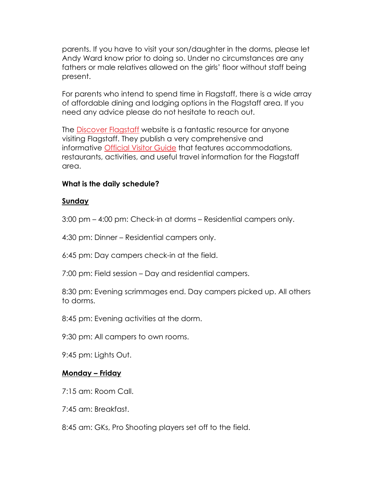parents. If you have to visit your son/daughter in the dorms, please let Andy Ward know prior to doing so. Under no circumstances are any fathers or male relatives allowed on the girls' floor without staff being present.

For parents who intend to spend time in Flagstaff, there is a wide array of affordable dining and lodging options in the Flagstaff area. If you need any advice please do not hesitate to reach out.

The Discover Flagstaff website is a fantastic resource for anyone visiting Flagstaff. They publish a very comprehensive and informative **Official Visitor Guide** that features accommodations, restaurants, activities, and useful travel information for the Flagstaff area.

## **What is the daily schedule?**

#### **Sunday**

3:00 pm – 4:00 pm: Check-in at dorms – Residential campers only.

4:30 pm: Dinner – Residential campers only.

6:45 pm: Day campers check-in at the field.

7:00 pm: Field session – Day and residential campers.

8:30 pm: Evening scrimmages end. Day campers picked up. All others to dorms.

8:45 pm: Evening activities at the dorm.

9:30 pm: All campers to own rooms.

9:45 pm: Lights Out.

## **Monday – Friday**

7:15 am: Room Call.

7:45 am: Breakfast.

8:45 am: GKs, Pro Shooting players set off to the field.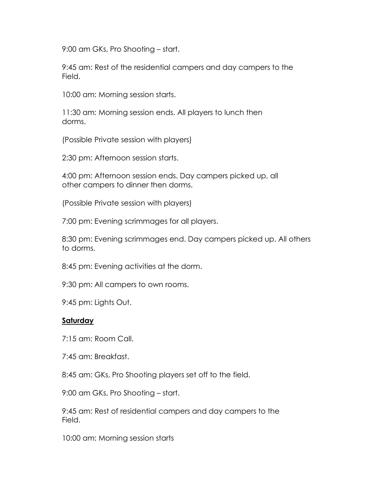9:00 am GKs, Pro Shooting – start.

9:45 am: Rest of the residential campers and day campers to the Field.

10:00 am: Morning session starts.

11:30 am: Morning session ends. All players to lunch then dorms.

(Possible Private session with players)

2:30 pm: Afternoon session starts.

4:00 pm: Afternoon session ends. Day campers picked up, all other campers to dinner then dorms.

(Possible Private session with players)

7:00 pm: Evening scrimmages for all players.

8:30 pm: Evening scrimmages end. Day campers picked up. All others to dorms.

8:45 pm: Evening activities at the dorm.

9:30 pm: All campers to own rooms.

9:45 pm: Lights Out.

#### **Saturday**

7:15 am: Room Call.

7:45 am: Breakfast.

8:45 am: GKs, Pro Shooting players set off to the field.

9:00 am GKs, Pro Shooting – start.

9:45 am: Rest of residential campers and day campers to the Field.

10:00 am: Morning session starts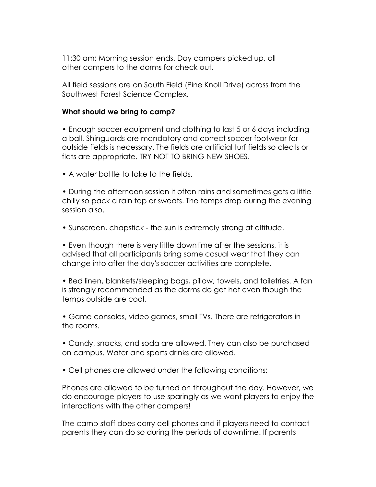11:30 am: Morning session ends. Day campers picked up, all other campers to the dorms for check out.

All field sessions are on South Field (Pine Knoll Drive) across from the Southwest Forest Science Complex.

#### **What should we bring to camp?**

• Enough soccer equipment and clothing to last 5 or 6 days including a ball. Shinguards are mandatory and correct soccer footwear for outside fields is necessary. The fields are artificial turf fields so cleats or flats are appropriate. TRY NOT TO BRING NEW SHOES.

• A water bottle to take to the fields.

• During the afternoon session it often rains and sometimes gets a little chilly so pack a rain top or sweats. The temps drop during the evening session also.

• Sunscreen, chapstick - the sun is extremely strong at altitude.

• Even though there is very little downtime after the sessions, it is advised that all participants bring some casual wear that they can change into after the day's soccer activities are complete.

• Bed linen, blankets/sleeping bags, pillow, towels, and toiletries. A fan is strongly recommended as the dorms do get hot even though the temps outside are cool.

• Game consoles, video games, small TVs. There are refrigerators in the rooms.

• Candy, snacks, and soda are allowed. They can also be purchased on campus. Water and sports drinks are allowed.

• Cell phones are allowed under the following conditions:

Phones are allowed to be turned on throughout the day. However, we do encourage players to use sparingly as we want players to enjoy the interactions with the other campers!

The camp staff does carry cell phones and if players need to contact parents they can do so during the periods of downtime. If parents